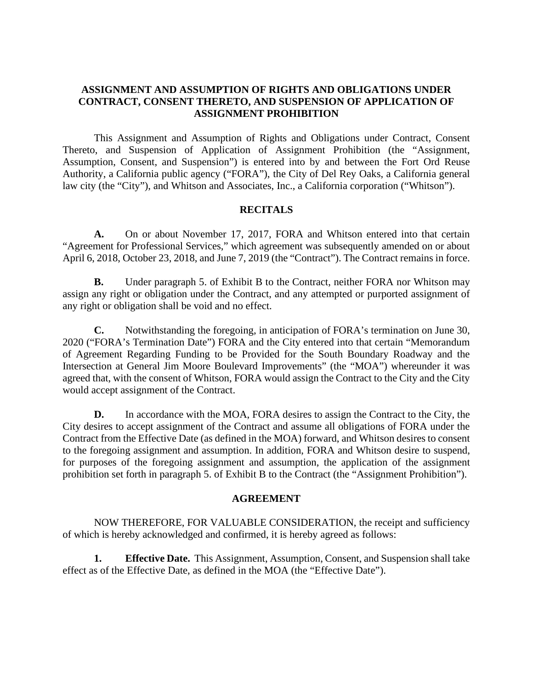## **ASSIGNMENT AND ASSUMPTION OF RIGHTS AND OBLIGATIONS UNDER CONTRACT, CONSENT THERETO, AND SUSPENSION OF APPLICATION OF ASSIGNMENT PROHIBITION**

This Assignment and Assumption of Rights and Obligations under Contract, Consent Thereto, and Suspension of Application of Assignment Prohibition (the "Assignment, Assumption, Consent, and Suspension") is entered into by and between the Fort Ord Reuse Authority, a California public agency ("FORA"), the City of Del Rey Oaks, a California general law city (the "City"), and Whitson and Associates, Inc., a California corporation ("Whitson").

### **RECITALS**

**A.** On or about November 17, 2017, FORA and Whitson entered into that certain "Agreement for Professional Services," which agreement was subsequently amended on or about April 6, 2018, October 23, 2018, and June 7, 2019 (the "Contract"). The Contract remains in force.

**B.** Under paragraph 5. of Exhibit B to the Contract, neither FORA nor Whitson may assign any right or obligation under the Contract, and any attempted or purported assignment of any right or obligation shall be void and no effect.

**C.** Notwithstanding the foregoing, in anticipation of FORA's termination on June 30, 2020 ("FORA's Termination Date") FORA and the City entered into that certain "Memorandum of Agreement Regarding Funding to be Provided for the South Boundary Roadway and the Intersection at General Jim Moore Boulevard Improvements" (the "MOA") whereunder it was agreed that, with the consent of Whitson, FORA would assign the Contract to the City and the City would accept assignment of the Contract.

**D.** In accordance with the MOA, FORA desires to assign the Contract to the City, the City desires to accept assignment of the Contract and assume all obligations of FORA under the Contract from the Effective Date (as defined in the MOA) forward, and Whitson desires to consent to the foregoing assignment and assumption. In addition, FORA and Whitson desire to suspend, for purposes of the foregoing assignment and assumption, the application of the assignment prohibition set forth in paragraph 5. of Exhibit B to the Contract (the "Assignment Prohibition").

### **AGREEMENT**

NOW THEREFORE, FOR VALUABLE CONSIDERATION, the receipt and sufficiency of which is hereby acknowledged and confirmed, it is hereby agreed as follows:

**1. Effective Date.** This Assignment, Assumption, Consent, and Suspension shall take effect as of the Effective Date, as defined in the MOA (the "Effective Date").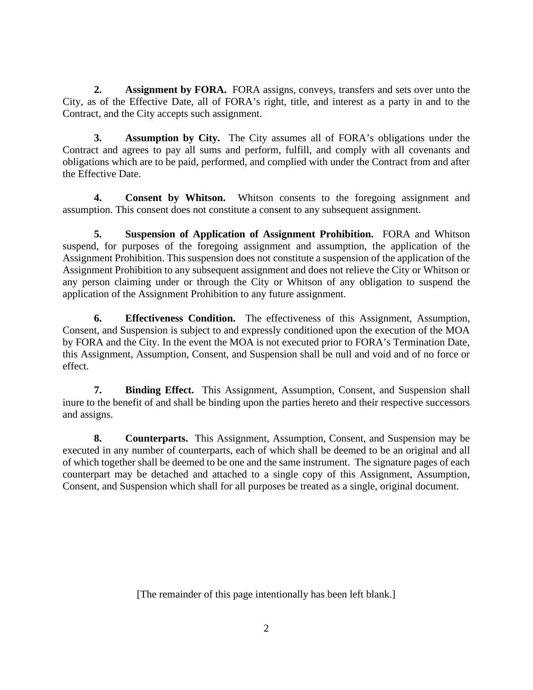**2. Assignment by FORA.** FORA assigns, conveys, transfers and sets over unto the City, as of the Effective Date, all of FORA's right, title, and interest as a party in and to the Contract, and the City accepts such assignment.

**3. Assumption by City.** The City assumes all of FORA's obligations under the Contract and agrees to pay all sums and perform, fulfill, and comply with all covenants and obligations which are to be paid, performed, and complied with under the Contract from and after the Effective Date.

**4. Consent by Whitson.** Whitson consents to the foregoing assignment and assumption. This consent does not constitute a consent to any subsequent assignment.

**5. Suspension of Application of Assignment Prohibition.** FORA and Whitson suspend, for purposes of the foregoing assignment and assumption, the application of the Assignment Prohibition. This suspension does not constitute a suspension of the application of the Assignment Prohibition to any subsequent assignment and does not relieve the City or Whitson or any person claiming under or through the City or Whitson of any obligation to suspend the application of the Assignment Prohibition to any future assignment.

**6. Effectiveness Condition.** The effectiveness of this Assignment, Assumption, Consent, and Suspension is subject to and expressly conditioned upon the execution of the MOA by FORA and the City. In the event the MOA is not executed prior to FORA's Termination Date, this Assignment, Assumption, Consent, and Suspension shall be null and void and of no force or effect.

**7. Binding Effect.** This Assignment, Assumption, Consent, and Suspension shall inure to the benefit of and shall be binding upon the parties hereto and their respective successors and assigns.

**8. Counterparts.** This Assignment, Assumption, Consent, and Suspension may be executed in any number of counterparts, each of which shall be deemed to be an original and all of which together shall be deemed to be one and the same instrument. The signature pages of each counterpart may be detached and attached to a single copy of this Assignment, Assumption, Consent, and Suspension which shall for all purposes be treated as a single, original document.

[The remainder of this page intentionally has been left blank.]